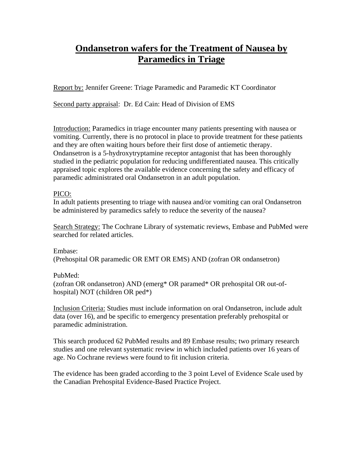## **Ondansetron wafers for the Treatment of Nausea by Paramedics in Triage**

Report by: Jennifer Greene: Triage Paramedic and Paramedic KT Coordinator

Second party appraisal: Dr. Ed Cain: Head of Division of EMS

Introduction: Paramedics in triage encounter many patients presenting with nausea or vomiting. Currently, there is no protocol in place to provide treatment for these patients and they are often waiting hours before their first dose of antiemetic therapy. Ondansetron is a 5-hydroxytryptamine receptor antagonist that has been thoroughly studied in the pediatric population for reducing undifferentiated nausea. This critically appraised topic explores the available evidence concerning the safety and efficacy of paramedic administrated oral Ondansetron in an adult population.

## PICO:

In adult patients presenting to triage with nausea and/or vomiting can oral Ondansetron be administered by paramedics safely to reduce the severity of the nausea?

Search Strategy: The Cochrane Library of systematic reviews, Embase and PubMed were searched for related articles.

Embase: (Prehospital OR paramedic OR EMT OR EMS) AND (zofran OR ondansetron)

## PubMed:

(zofran OR ondansetron) AND (emerg\* OR paramed\* OR prehospital OR out-ofhospital) NOT (children OR ped\*)

Inclusion Criteria: Studies must include information on oral Ondansetron, include adult data (over 16), and be specific to emergency presentation preferably prehospital or paramedic administration.

This search produced 62 PubMed results and 89 Embase results; two primary research studies and one relevant systematic review in which included patients over 16 years of age. No Cochrane reviews were found to fit inclusion criteria.

The evidence has been graded according to the 3 point Level of Evidence Scale used by the Canadian Prehospital Evidence-Based Practice Project.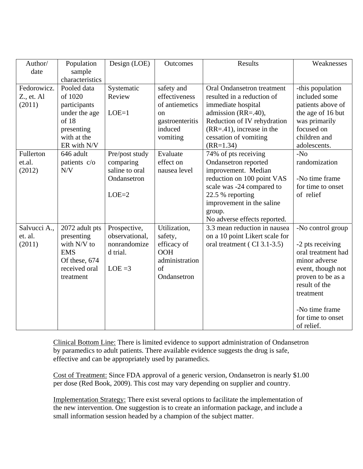| Author/      | Population      | Design (LOE)   | Outcomes        | Results                        | Weaknesses         |
|--------------|-----------------|----------------|-----------------|--------------------------------|--------------------|
| date         | sample          |                |                 |                                |                    |
|              | characteristics |                |                 |                                |                    |
| Fedorowicz.  | Pooled data     | Systematic     | safety and      | Oral Ondansetron treatment     | -this population   |
| Z., et. Al   | of 1020         | Review         | effectiveness   | resulted in a reduction of     | included some      |
| (2011)       | participants    |                | of antiemetics  | immediate hospital             | patients above of  |
|              | under the age   | $LOE=1$        | on              | admission (RR=.40),            | the age of 16 but  |
|              | of 18           |                | gastroenteritis | Reduction of IV rehydration    | was primarily      |
|              | presenting      |                | induced         | $(RR=41)$ , increase in the    | focused on         |
|              | with at the     |                | vomiting        | cessation of vomiting          | children and       |
|              | ER with N/V     |                |                 | $(RR=1.34)$                    | adolescents.       |
| Fullerton    | 646 adult       | Pre/post study | Evaluate        | 74% of pts receiving           | $-N0$              |
| et.al.       | patients c/o    | comparing      | effect on       | Ondansetron reported           | randomization      |
| (2012)       | N/V             | saline to oral | nausea level    | improvement. Median            |                    |
|              |                 | Ondansetron    |                 | reduction on 100 point VAS     | -No time frame     |
|              |                 |                |                 | scale was -24 compared to      | for time to onset  |
|              |                 | $LOE=2$        |                 | 22.5 % reporting               | of relief          |
|              |                 |                |                 | improvement in the saline      |                    |
|              |                 |                |                 | group.                         |                    |
|              |                 |                |                 | No adverse effects reported.   |                    |
| Salvucci A., | 2072 adult pts  | Prospective,   | Utilization,    | 3.3 mean reduction in nausea   | -No control group  |
| et. al.      | presenting      | observational, | safety,         | on a 10 point Likert scale for |                    |
| (2011)       | with N/V to     | nonrandomize   | efficacy of     | oral treatment (CI 3.1-3.5)    | -2 pts receiving   |
|              | <b>EMS</b>      | d trial.       | <b>OOH</b>      |                                | oral treatment had |
|              | Of these, 674   |                | administration  |                                | minor adverse      |
|              | received oral   | $LOE = 3$      | of              |                                | event, though not  |
|              | treatment       |                | Ondansetron     |                                | proven to be as a  |
|              |                 |                |                 |                                | result of the      |
|              |                 |                |                 |                                | treatment          |
|              |                 |                |                 |                                |                    |
|              |                 |                |                 |                                | -No time frame     |
|              |                 |                |                 |                                | for time to onset  |
|              |                 |                |                 |                                | of relief.         |

Clinical Bottom Line: There is limited evidence to support administration of Ondansetron by paramedics to adult patients. There available evidence suggests the drug is safe, effective and can be appropriately used by paramedics.

Cost of Treatment: Since FDA approval of a generic version, Ondansetron is nearly \$1.00 per dose (Red Book, 2009). This cost may vary depending on supplier and country.

Implementation Strategy: There exist several options to facilitate the implementation of the new intervention. One suggestion is to create an information package, and include a small information session headed by a champion of the subject matter.